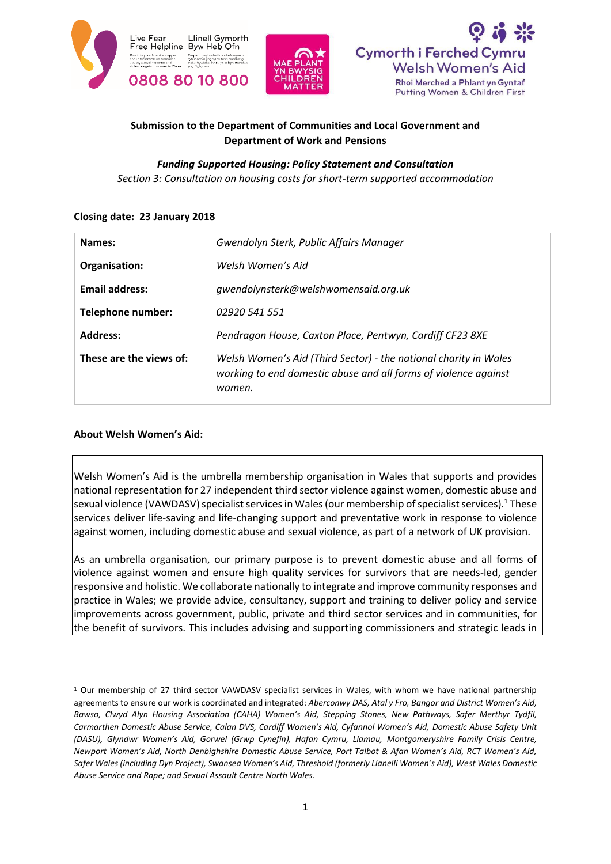





# **Submission to the Department of Communities and Local Government and Department of Work and Pensions**

#### *Funding Supported Housing: Policy Statement and Consultation*

*Section 3: Consultation on housing costs for short-term supported accommodation*

#### **Closing date: 23 January 2018**

| Names:                   | Gwendolyn Sterk, Public Affairs Manager                                                                                                       |
|--------------------------|-----------------------------------------------------------------------------------------------------------------------------------------------|
| Organisation:            | Welsh Women's Aid                                                                                                                             |
| <b>Email address:</b>    | gwendolynsterk@welshwomensaid.org.uk                                                                                                          |
| <b>Telephone number:</b> | 02920 541 551                                                                                                                                 |
| <b>Address:</b>          | Pendragon House, Caxton Place, Pentwyn, Cardiff CF23 8XE                                                                                      |
| These are the views of:  | Welsh Women's Aid (Third Sector) - the national charity in Wales<br>working to end domestic abuse and all forms of violence against<br>women. |

## **About Welsh Women's Aid:**

**.** 

Welsh Women's Aid is the umbrella membership organisation in Wales that supports and provides national representation for 27 independent third sector violence against women, domestic abuse and sexual violence (VAWDASV) specialist services in Wales (our membership of specialist services).<sup>1</sup> These services deliver life-saving and life-changing support and preventative work in response to violence against women, including domestic abuse and sexual violence, as part of a network of UK provision.

As an umbrella organisation, our primary purpose is to prevent domestic abuse and all forms of violence against women and ensure high quality services for survivors that are needs-led, gender responsive and holistic. We collaborate nationally to integrate and improve community responses and practice in Wales; we provide advice, consultancy, support and training to deliver policy and service improvements across government, public, private and third sector services and in communities, for the benefit of survivors. This includes advising and supporting commissioners and strategic leads in

<sup>1</sup> Our membership of 27 third sector VAWDASV specialist services in Wales, with whom we have national partnership agreements to ensure our work is coordinated and integrated: *Aberconwy DAS, Atal y Fro, Bangor and District Women's Aid, Bawso, Clwyd Alyn Housing Association (CAHA) Women's Aid, Stepping Stones, New Pathways, Safer Merthyr Tydfil, Carmarthen Domestic Abuse Service, Calan DVS, Cardiff Women's Aid, Cyfannol Women's Aid, Domestic Abuse Safety Unit (DASU), Glyndwr Women's Aid, Gorwel (Grwp Cynefin), Hafan Cymru, Llamau, Montgomeryshire Family Crisis Centre, Newport Women's Aid, North Denbighshire Domestic Abuse Service, Port Talbot & Afan Women's Aid, RCT Women's Aid, Safer Wales (including Dyn Project), Swansea Women's Aid, Threshold (formerly Llanelli Women's Aid), West Wales Domestic Abuse Service and Rape; and Sexual Assault Centre North Wales.*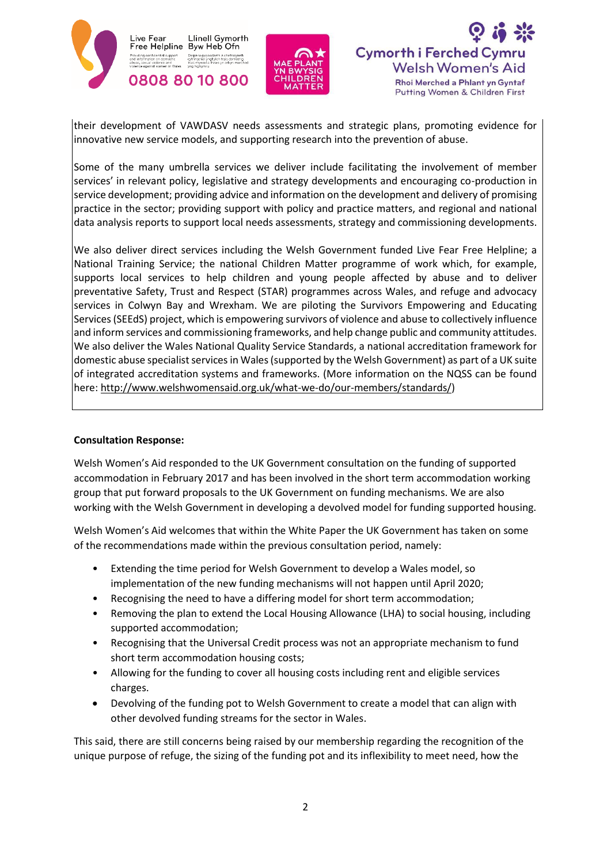





their development of VAWDASV needs assessments and strategic plans, promoting evidence for innovative new service models, and supporting research into the prevention of abuse.

Some of the many umbrella services we deliver include facilitating the involvement of member services' in relevant policy, legislative and strategy developments and encouraging co-production in service development; providing advice and information on the development and delivery of promising practice in the sector; providing support with policy and practice matters, and regional and national data analysis reports to support local needs assessments, strategy and commissioning developments.

We also deliver direct services including the Welsh Government funded Live Fear Free Helpline; a National Training Service; the national Children Matter programme of work which, for example, supports local services to help children and young people affected by abuse and to deliver preventative Safety, Trust and Respect (STAR) programmes across Wales, and refuge and advocacy services in Colwyn Bay and Wrexham. We are piloting the Survivors Empowering and Educating Services (SEEdS) project, which is empowering survivors of violence and abuse to collectively influence and inform services and commissioning frameworks, and help change public and community attitudes. We also deliver the Wales National Quality Service Standards, a national accreditation framework for domestic abuse specialist services in Wales (supported by the Welsh Government) as part of a UK suite of integrated accreditation systems and frameworks. (More information on the NQSS can be found here: [http://www.welshwomensaid.org.uk/what-we-do/our-members/standards/\)](http://www.welshwomensaid.org.uk/what-we-do/our-members/standards/)

#### **Consultation Response:**

Welsh Women's Aid responded to the UK Government consultation on the funding of supported accommodation in February 2017 and has been involved in the short term accommodation working group that put forward proposals to the UK Government on funding mechanisms. We are also working with the Welsh Government in developing a devolved model for funding supported housing.

Welsh Women's Aid welcomes that within the White Paper the UK Government has taken on some of the recommendations made within the previous consultation period, namely:

- Extending the time period for Welsh Government to develop a Wales model, so implementation of the new funding mechanisms will not happen until April 2020;
- Recognising the need to have a differing model for short term accommodation;
- Removing the plan to extend the Local Housing Allowance (LHA) to social housing, including supported accommodation;
- Recognising that the Universal Credit process was not an appropriate mechanism to fund short term accommodation housing costs;
- Allowing for the funding to cover all housing costs including rent and eligible services charges.
- Devolving of the funding pot to Welsh Government to create a model that can align with other devolved funding streams for the sector in Wales.

This said, there are still concerns being raised by our membership regarding the recognition of the unique purpose of refuge, the sizing of the funding pot and its inflexibility to meet need, how the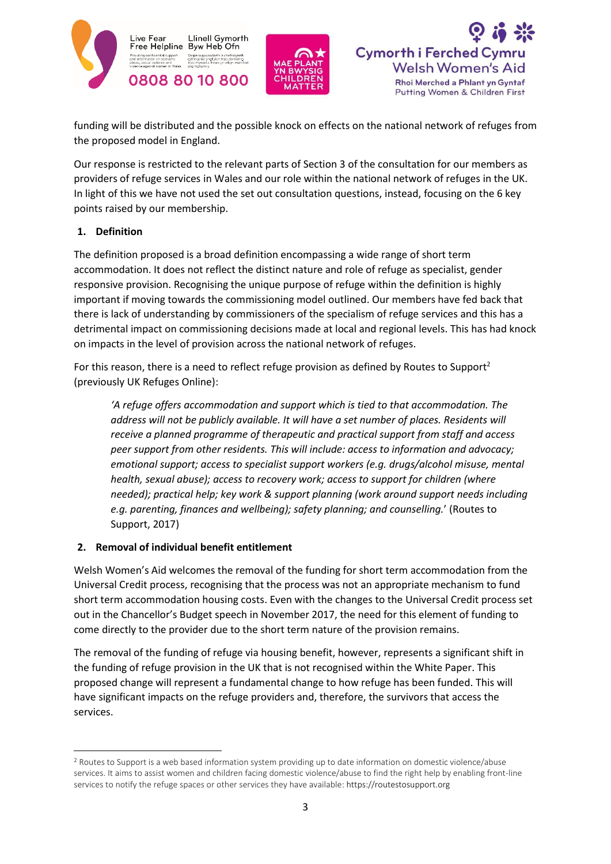





funding will be distributed and the possible knock on effects on the national network of refuges from the proposed model in England.

Our response is restricted to the relevant parts of Section 3 of the consultation for our members as providers of refuge services in Wales and our role within the national network of refuges in the UK. In light of this we have not used the set out consultation questions, instead, focusing on the 6 key points raised by our membership.

#### **1. Definition**

1

The definition proposed is a broad definition encompassing a wide range of short term accommodation. It does not reflect the distinct nature and role of refuge as specialist, gender responsive provision. Recognising the unique purpose of refuge within the definition is highly important if moving towards the commissioning model outlined. Our members have fed back that there is lack of understanding by commissioners of the specialism of refuge services and this has a detrimental impact on commissioning decisions made at local and regional levels. This has had knock on impacts in the level of provision across the national network of refuges.

For this reason, there is a need to reflect refuge provision as defined by Routes to Support<sup>2</sup> (previously UK Refuges Online):

*'A refuge offers accommodation and support which is tied to that accommodation. The*  address will not be publicly available. It will have a set number of places. Residents will *receive a planned programme of therapeutic and practical support from staff and access peer support from other residents. This will include: access to information and advocacy; emotional support; access to specialist support workers (e.g. drugs/alcohol misuse, mental health, sexual abuse); access to recovery work; access to support for children (where needed); practical help; key work & support planning (work around support needs including e.g. parenting, finances and wellbeing); safety planning; and counselling.*' (Routes to Support, 2017)

## **2. Removal of individual benefit entitlement**

Welsh Women's Aid welcomes the removal of the funding for short term accommodation from the Universal Credit process, recognising that the process was not an appropriate mechanism to fund short term accommodation housing costs. Even with the changes to the Universal Credit process set out in the Chancellor's Budget speech in November 2017, the need for this element of funding to come directly to the provider due to the short term nature of the provision remains.

The removal of the funding of refuge via housing benefit, however, represents a significant shift in the funding of refuge provision in the UK that is not recognised within the White Paper. This proposed change will represent a fundamental change to how refuge has been funded. This will have significant impacts on the refuge providers and, therefore, the survivors that access the services.

<sup>&</sup>lt;sup>2</sup> Routes to Support is a web based information system providing up to date information on domestic violence/abuse services. It aims to assist women and children facing domestic violence/abuse to find the right help by enabling front-line services to notify the refuge spaces or other services they have available: https://routestosupport.org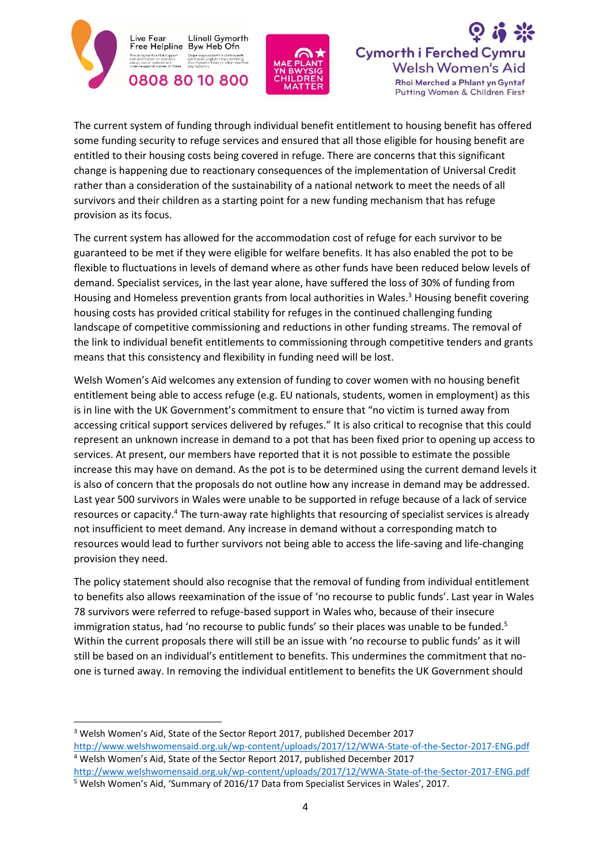

 $\overline{a}$ 





The current system of funding through individual benefit entitlement to housing benefit has offered some funding security to refuge services and ensured that all those eligible for housing benefit are entitled to their housing costs being covered in refuge. There are concerns that this significant change is happening due to reactionary consequences of the implementation of Universal Credit rather than a consideration of the sustainability of a national network to meet the needs of all survivors and their children as a starting point for a new funding mechanism that has refuge provision as its focus.

The current system has allowed for the accommodation cost of refuge for each survivor to be guaranteed to be met if they were eligible for welfare benefits. It has also enabled the pot to be flexible to fluctuations in levels of demand where as other funds have been reduced below levels of demand. Specialist services, in the last year alone, have suffered the loss of 30% of funding from Housing and Homeless prevention grants from local authorities in Wales.<sup>3</sup> Housing benefit covering housing costs has provided critical stability for refuges in the continued challenging funding landscape of competitive commissioning and reductions in other funding streams. The removal of the link to individual benefit entitlements to commissioning through competitive tenders and grants means that this consistency and flexibility in funding need will be lost.

Welsh Women's Aid welcomes any extension of funding to cover women with no housing benefit entitlement being able to access refuge (e.g. EU nationals, students, women in employment) as this is in line with the UK Government's commitment to ensure that "no victim is turned away from accessing critical support services delivered by refuges." It is also critical to recognise that this could represent an unknown increase in demand to a pot that has been fixed prior to opening up access to services. At present, our members have reported that it is not possible to estimate the possible increase this may have on demand. As the pot is to be determined using the current demand levels it is also of concern that the proposals do not outline how any increase in demand may be addressed. Last year 500 survivors in Wales were unable to be supported in refuge because of a lack of service resources or capacity.<sup>4</sup> The turn-away rate highlights that resourcing of specialist services is already not insufficient to meet demand. Any increase in demand without a corresponding match to resources would lead to further survivors not being able to access the life-saving and life-changing provision they need.

The policy statement should also recognise that the removal of funding from individual entitlement to benefits also allows reexamination of the issue of 'no recourse to public funds'. Last year in Wales 78 survivors were referred to refuge-based support in Wales who, because of their insecure immigration status, had 'no recourse to public funds' so their places was unable to be funded.<sup>5</sup> Within the current proposals there will still be an issue with 'no recourse to public funds' as it will still be based on an individual's entitlement to benefits. This undermines the commitment that noone is turned away. In removing the individual entitlement to benefits the UK Government should

<sup>3</sup> Welsh Women's Aid, State of the Sector Report 2017, published December 2017 <http://www.welshwomensaid.org.uk/wp-content/uploads/2017/12/WWA-State-of-the-Sector-2017-ENG.pdf> <sup>4</sup> Welsh Women's Aid, State of the Sector Report 2017, published December 2017

<http://www.welshwomensaid.org.uk/wp-content/uploads/2017/12/WWA-State-of-the-Sector-2017-ENG.pdf> <sup>5</sup> Welsh Women's Aid, 'Summary of 2016/17 Data from Specialist Services in Wales', 2017.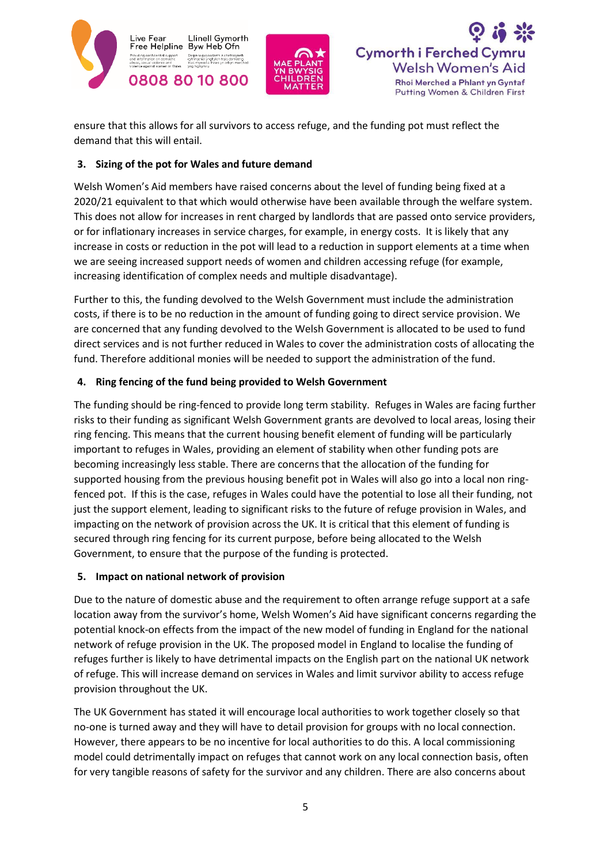





ensure that this allows for all survivors to access refuge, and the funding pot must reflect the demand that this will entail.

#### **3. Sizing of the pot for Wales and future demand**

Welsh Women's Aid members have raised concerns about the level of funding being fixed at a 2020/21 equivalent to that which would otherwise have been available through the welfare system. This does not allow for increases in rent charged by landlords that are passed onto service providers, or for inflationary increases in service charges, for example, in energy costs. It is likely that any increase in costs or reduction in the pot will lead to a reduction in support elements at a time when we are seeing increased support needs of women and children accessing refuge (for example, increasing identification of complex needs and multiple disadvantage).

Further to this, the funding devolved to the Welsh Government must include the administration costs, if there is to be no reduction in the amount of funding going to direct service provision. We are concerned that any funding devolved to the Welsh Government is allocated to be used to fund direct services and is not further reduced in Wales to cover the administration costs of allocating the fund. Therefore additional monies will be needed to support the administration of the fund.

## **4. Ring fencing of the fund being provided to Welsh Government**

The funding should be ring-fenced to provide long term stability. Refuges in Wales are facing further risks to their funding as significant Welsh Government grants are devolved to local areas, losing their ring fencing. This means that the current housing benefit element of funding will be particularly important to refuges in Wales, providing an element of stability when other funding pots are becoming increasingly less stable. There are concerns that the allocation of the funding for supported housing from the previous housing benefit pot in Wales will also go into a local non ringfenced pot. If this is the case, refuges in Wales could have the potential to lose all their funding, not just the support element, leading to significant risks to the future of refuge provision in Wales, and impacting on the network of provision across the UK. It is critical that this element of funding is secured through ring fencing for its current purpose, before being allocated to the Welsh Government, to ensure that the purpose of the funding is protected.

## **5. Impact on national network of provision**

Due to the nature of domestic abuse and the requirement to often arrange refuge support at a safe location away from the survivor's home, Welsh Women's Aid have significant concerns regarding the potential knock-on effects from the impact of the new model of funding in England for the national network of refuge provision in the UK. The proposed model in England to localise the funding of refuges further is likely to have detrimental impacts on the English part on the national UK network of refuge. This will increase demand on services in Wales and limit survivor ability to access refuge provision throughout the UK.

The UK Government has stated it will encourage local authorities to work together closely so that no-one is turned away and they will have to detail provision for groups with no local connection. However, there appears to be no incentive for local authorities to do this. A local commissioning model could detrimentally impact on refuges that cannot work on any local connection basis, often for very tangible reasons of safety for the survivor and any children. There are also concerns about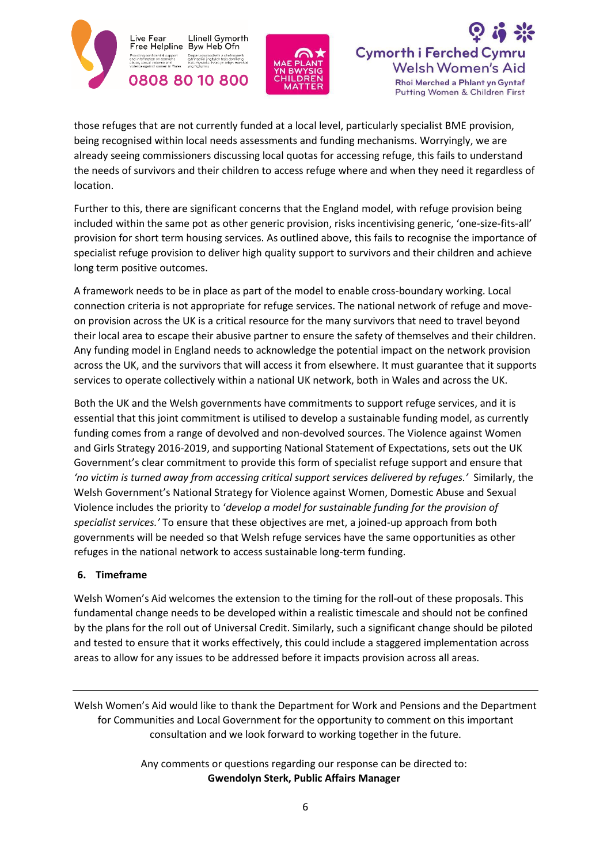





those refuges that are not currently funded at a local level, particularly specialist BME provision, being recognised within local needs assessments and funding mechanisms. Worryingly, we are already seeing commissioners discussing local quotas for accessing refuge, this fails to understand the needs of survivors and their children to access refuge where and when they need it regardless of location.

Further to this, there are significant concerns that the England model, with refuge provision being included within the same pot as other generic provision, risks incentivising generic, 'one-size-fits-all' provision for short term housing services. As outlined above, this fails to recognise the importance of specialist refuge provision to deliver high quality support to survivors and their children and achieve long term positive outcomes.

A framework needs to be in place as part of the model to enable cross-boundary working. Local connection criteria is not appropriate for refuge services. The national network of refuge and moveon provision across the UK is a critical resource for the many survivors that need to travel beyond their local area to escape their abusive partner to ensure the safety of themselves and their children. Any funding model in England needs to acknowledge the potential impact on the network provision across the UK, and the survivors that will access it from elsewhere. It must guarantee that it supports services to operate collectively within a national UK network, both in Wales and across the UK.

Both the UK and the Welsh governments have commitments to support refuge services, and it is essential that this joint commitment is utilised to develop a sustainable funding model, as currently funding comes from a range of devolved and non-devolved sources. The Violence against Women and Girls Strategy 2016-2019, and supporting National Statement of Expectations, sets out the UK Government's clear commitment to provide this form of specialist refuge support and ensure that *'no victim is turned away from accessing critical support services delivered by refuges.'* Similarly, the Welsh Government's National Strategy for Violence against Women, Domestic Abuse and Sexual Violence includes the priority to '*develop a model for sustainable funding for the provision of specialist services.'* To ensure that these objectives are met, a joined-up approach from both governments will be needed so that Welsh refuge services have the same opportunities as other refuges in the national network to access sustainable long-term funding.

#### **6. Timeframe**

Welsh Women's Aid welcomes the extension to the timing for the roll-out of these proposals. This fundamental change needs to be developed within a realistic timescale and should not be confined by the plans for the roll out of Universal Credit. Similarly, such a significant change should be piloted and tested to ensure that it works effectively, this could include a staggered implementation across areas to allow for any issues to be addressed before it impacts provision across all areas.

Welsh Women's Aid would like to thank the Department for Work and Pensions and the Department for Communities and Local Government for the opportunity to comment on this important consultation and we look forward to working together in the future.

> Any comments or questions regarding our response can be directed to: **Gwendolyn Sterk, Public Affairs Manager**